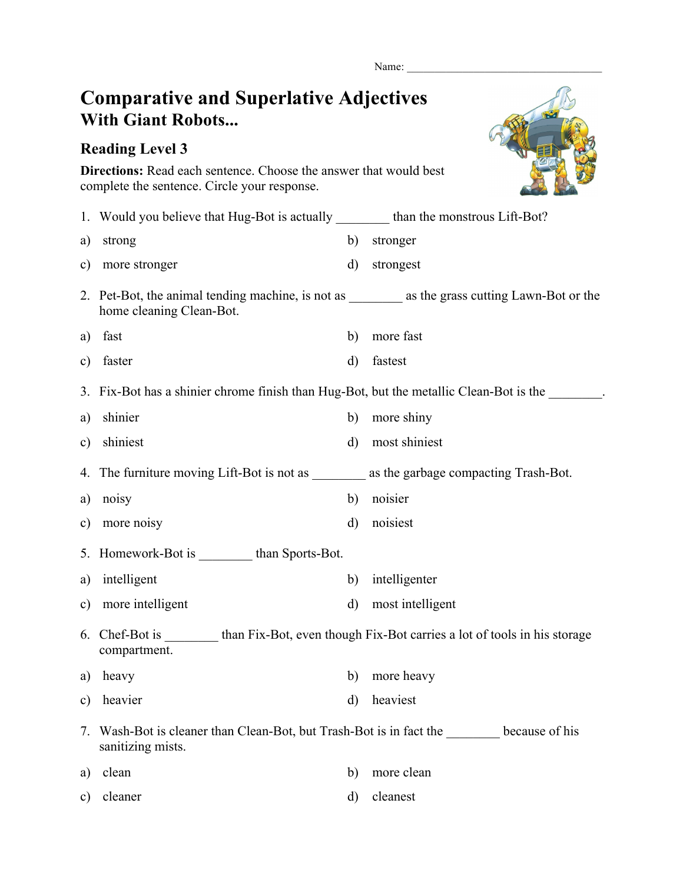Name:

## **Comparative and Superlative Adjectives With Giant Robots...**

## **Reading Level 3**



**Directions:** Read each sentence. Choose the answer that would best complete the sentence. Circle your response.

|               | 1. Would you believe that Hug-Bot is actually _________ than the monstrous Lift-Bot?                             |              |                  |
|---------------|------------------------------------------------------------------------------------------------------------------|--------------|------------------|
| a)            | strong                                                                                                           | b)           | stronger         |
| $\mathbf{c})$ | more stronger                                                                                                    | d)           | strongest        |
|               | home cleaning Clean-Bot.                                                                                         |              |                  |
| a)            | fast                                                                                                             | b)           | more fast        |
| $\mathbf{c})$ | faster                                                                                                           | d)           | fastest          |
|               | 3. Fix-Bot has a shinier chrome finish than Hug-Bot, but the metallic Clean-Bot is the                           |              |                  |
| a)            | shinier                                                                                                          | b)           | more shiny       |
| $\mathbf{c})$ | shiniest                                                                                                         | $\mathbf{d}$ | most shiniest    |
|               | 4. The furniture moving Lift-Bot is not as ___________ as the garbage compacting Trash-Bot.                      |              |                  |
| a)            | noisy                                                                                                            | b)           | noisier          |
| c)            | more noisy                                                                                                       | $\mathbf{d}$ | noisiest         |
|               | 5. Homework-Bot is _________ than Sports-Bot.                                                                    |              |                  |
| a)            | intelligent                                                                                                      | b)           | intelligenter    |
| $\mathbf{c})$ | more intelligent                                                                                                 | $\rm d)$     | most intelligent |
|               | 6. Chef-Bot is _________ than Fix-Bot, even though Fix-Bot carries a lot of tools in his storage<br>compartment. |              |                  |
| a)            | heavy                                                                                                            | b)           | more heavy       |
|               | c) heavier                                                                                                       |              | d) heaviest      |
| 7.            | Wash-Bot is cleaner than Clean-Bot, but Trash-Bot is in fact the because of his<br>sanitizing mists.             |              |                  |
| a)            | clean                                                                                                            | b)           | more clean       |
| $\mathbf{c})$ | cleaner                                                                                                          | d)           | cleanest         |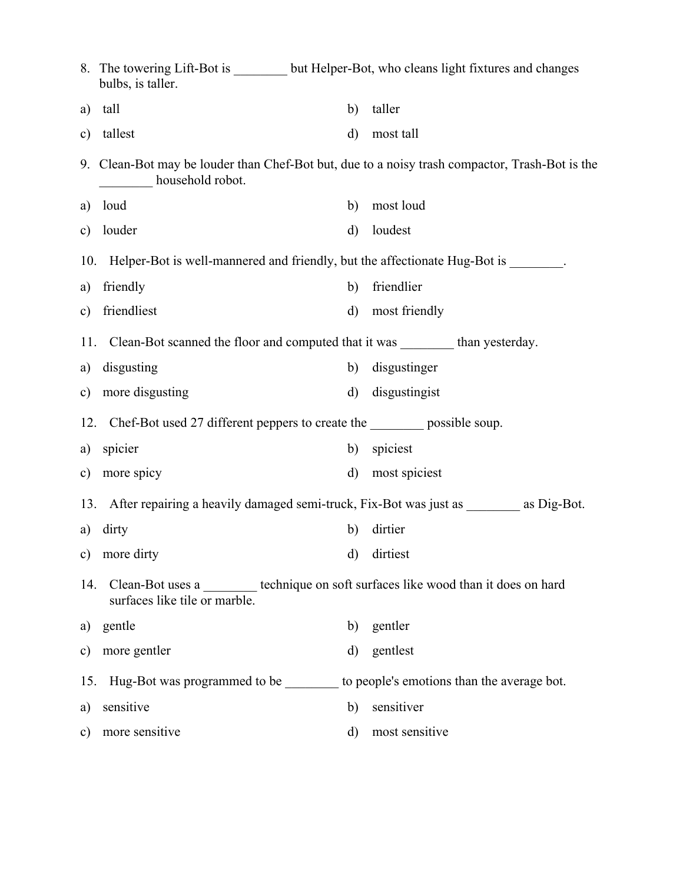|               | bulbs, is taller.                                                               |              | 8. The towering Lift-Bot is ________ but Helper-Bot, who cleans light fixtures and changes     |  |
|---------------|---------------------------------------------------------------------------------|--------------|------------------------------------------------------------------------------------------------|--|
| a)            | tall                                                                            | b)           | taller                                                                                         |  |
| $\mathbf{c})$ | tallest                                                                         | d)           | most tall                                                                                      |  |
|               | household robot.                                                                |              | 9. Clean-Bot may be louder than Chef-Bot but, due to a noisy trash compactor, Trash-Bot is the |  |
| a)            | loud                                                                            | b)           | most loud                                                                                      |  |
| $\mathbf{c})$ | louder                                                                          | $\mathbf{d}$ | loudest                                                                                        |  |
| 10.           | Helper-Bot is well-mannered and friendly, but the affectionate Hug-Bot is       |              |                                                                                                |  |
| a)            | friendly                                                                        | b)           | friendlier                                                                                     |  |
| $\mathbf{c})$ | friendliest                                                                     | $\rm d)$     | most friendly                                                                                  |  |
| 11.           | Clean-Bot scanned the floor and computed that it was __________ than yesterday. |              |                                                                                                |  |
| a)            | disgusting                                                                      | b)           | disgustinger                                                                                   |  |
| $\mathbf{c})$ | more disgusting                                                                 | $\rm d)$     | disgustingist                                                                                  |  |
| 12.           | Chef-Bot used 27 different peppers to create the __________ possible soup.      |              |                                                                                                |  |
| a)            | spicier                                                                         | b)           | spiciest                                                                                       |  |
| $\mathbf{c})$ | more spicy                                                                      | $\mathbf{d}$ | most spiciest                                                                                  |  |
| 13.           |                                                                                 |              | After repairing a heavily damaged semi-truck, Fix-Bot was just as __________ as Dig-Bot.       |  |
| a)            | dirty                                                                           | b)           | dirtier                                                                                        |  |
|               | c) more dirty                                                                   | d)           | dirtiest                                                                                       |  |
|               | surfaces like tile or marble.                                                   |              | 14. Clean-Bot uses a ________ technique on soft surfaces like wood than it does on hard        |  |
| a)            | gentle                                                                          | b)           | gentler                                                                                        |  |
| $\mathbf{c})$ | more gentler                                                                    | d)           | gentlest                                                                                       |  |
|               |                                                                                 |              | 15. Hug-Bot was programmed to be _________ to people's emotions than the average bot.          |  |
| a)            | sensitive                                                                       | b)           | sensitiver                                                                                     |  |
| $\mathbf{c})$ | more sensitive                                                                  | $\rm d)$     | most sensitive                                                                                 |  |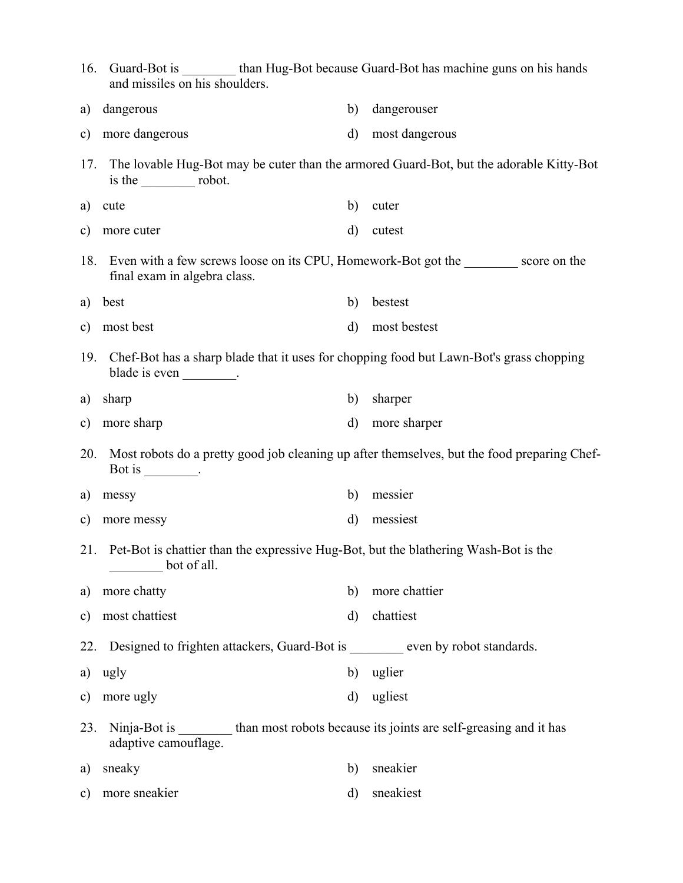| 16.           | Guard-Bot is _________ than Hug-Bot because Guard-Bot has machine guns on his hands<br>and missiles on his shoulders. |              |                                                                                             |  |  |
|---------------|-----------------------------------------------------------------------------------------------------------------------|--------------|---------------------------------------------------------------------------------------------|--|--|
| a)            | dangerous                                                                                                             | b)           | dangerouser                                                                                 |  |  |
| c)            | more dangerous                                                                                                        | $\rm d)$     | most dangerous                                                                              |  |  |
| 17.           | is the $\_\_\_\_\$ robot.                                                                                             |              | The lovable Hug-Bot may be cuter than the armored Guard-Bot, but the adorable Kitty-Bot     |  |  |
| a)            | cute                                                                                                                  | b)           | cuter                                                                                       |  |  |
| $\mathbf{c})$ | more cuter                                                                                                            | $\mathbf{d}$ | cutest                                                                                      |  |  |
| 18.           | Even with a few screws loose on its CPU, Homework-Bot got the score on the<br>final exam in algebra class.            |              |                                                                                             |  |  |
| a)            | best                                                                                                                  | b)           | bestest                                                                                     |  |  |
| c)            | most best                                                                                                             | $\mathbf{d}$ | most bestest                                                                                |  |  |
| 19.           | Chef-Bot has a sharp blade that it uses for chopping food but Lawn-Bot's grass chopping<br>blade is even ________.    |              |                                                                                             |  |  |
| a)            | sharp                                                                                                                 | b)           | sharper                                                                                     |  |  |
| $\mathbf{c})$ | more sharp                                                                                                            | $\mathbf{d}$ | more sharper                                                                                |  |  |
| 20.           | Bot is $\_\_\_\_\_\_\_\_\$ .                                                                                          |              | Most robots do a pretty good job cleaning up after themselves, but the food preparing Chef- |  |  |
| a)            | messy                                                                                                                 | b)           | messier                                                                                     |  |  |
| c)            | more messy                                                                                                            | $\mathbf{d}$ | messiest                                                                                    |  |  |
|               | 21. Pet-Bot is chattier than the expressive Hug-Bot, but the blathering Wash-Bot is the<br>bot of all.                |              |                                                                                             |  |  |
| a)            | more chatty                                                                                                           | b)           | more chattier                                                                               |  |  |
| c)            | most chattiest                                                                                                        | $\rm d)$     | chattiest                                                                                   |  |  |
| 22.           | Designed to frighten attackers, Guard-Bot is _______ even by robot standards.                                         |              |                                                                                             |  |  |
| a)            | ugly                                                                                                                  | b)           | uglier                                                                                      |  |  |
| c)            | more ugly                                                                                                             | $\rm d)$     | ugliest                                                                                     |  |  |
| 23.           | Ninja-Bot is _________ than most robots because its joints are self-greasing and it has<br>adaptive camouflage.       |              |                                                                                             |  |  |
| a)            | sneaky                                                                                                                | b)           | sneakier                                                                                    |  |  |
| c)            | more sneakier                                                                                                         | d)           | sneakiest                                                                                   |  |  |